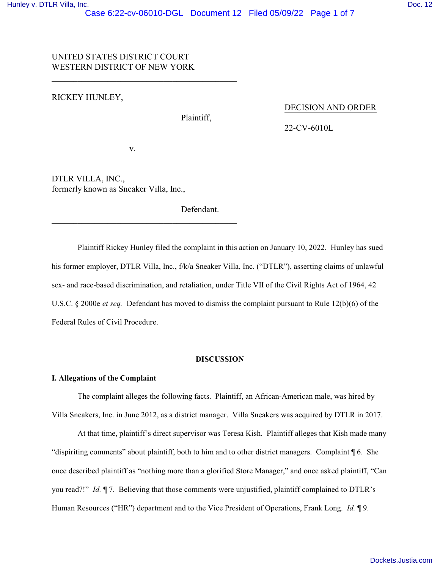# UNITED STATES DISTRICT COURT WESTERN DISTRICT OF NEW YORK

 $\overline{\phantom{a}}$  , and the set of the set of the set of the set of the set of the set of the set of the set of the set of the set of the set of the set of the set of the set of the set of the set of the set of the set of the s

# RICKEY HUNLEY,

Plaintiff,

#### DECISION AND ORDER

22-CV-6010L

v.

 $\overline{\phantom{a}}$  , and the set of the set of the set of the set of the set of the set of the set of the set of the set of the set of the set of the set of the set of the set of the set of the set of the set of the set of the s

DTLR VILLA, INC., formerly known as Sneaker Villa, Inc.,

Defendant.

Plaintiff Rickey Hunley filed the complaint in this action on January 10, 2022. Hunley has sued his former employer, DTLR Villa, Inc., f/k/a Sneaker Villa, Inc. ("DTLR"), asserting claims of unlawful sex- and race-based discrimination, and retaliation, under Title VII of the Civil Rights Act of 1964, 42 U.S.C. § 2000e *et seq.* Defendant has moved to dismiss the complaint pursuant to Rule 12(b)(6) of the Federal Rules of Civil Procedure.

### **DISCUSSION**

# **I. Allegations of the Complaint**

The complaint alleges the following facts. Plaintiff, an African-American male, was hired by Villa Sneakers, Inc. in June 2012, as a district manager. Villa Sneakers was acquired by DTLR in 2017.

At that time, plaintiff's direct supervisor was Teresa Kish. Plaintiff alleges that Kish made many "dispiriting comments" about plaintiff, both to him and to other district managers. Complaint ¶ 6. She once described plaintiff as "nothing more than a glorified Store Manager," and once asked plaintiff, "Can you read?!" *Id.* ¶ 7. Believing that those comments were unjustified, plaintiff complained to DTLR's Human Resources ("HR") department and to the Vice President of Operations, Frank Long. *Id.* ¶ 9.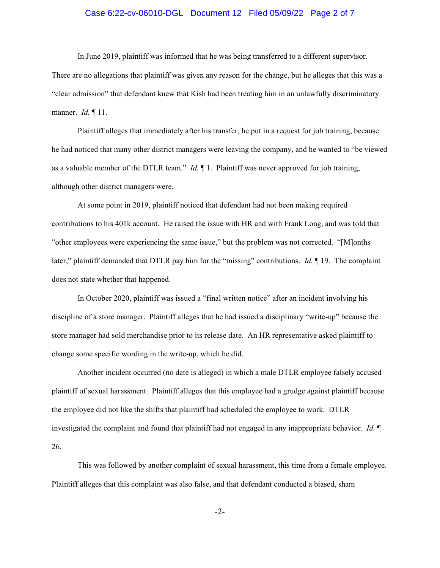# Case 6:22-cv-06010-DGL Document 12 Filed 05/09/22 Page 2 of 7

In June 2019, plaintiff was informed that he was being transferred to a different supervisor.

There are no allegations that plaintiff was given any reason for the change, but he alleges that this was a "clear admission" that defendant knew that Kish had been treating him in an unlawfully discriminatory manner. *Id.* ¶ 11.

Plaintiff alleges that immediately after his transfer, he put in a request for job training, because he had noticed that many other district managers were leaving the company, and he wanted to "be viewed as a valuable member of the DTLR team." *Id.* ¶ 1. Plaintiff was never approved for job training, although other district managers were.

At some point in 2019, plaintiff noticed that defendant had not been making required contributions to his 401k account. He raised the issue with HR and with Frank Long, and was told that "other employees were experiencing the same issue," but the problem was not corrected. "[M]onths later," plaintiff demanded that DTLR pay him for the "missing" contributions. *Id.* ¶ 19. The complaint does not state whether that happened.

In October 2020, plaintiff was issued a "final written notice" after an incident involving his discipline of a store manager. Plaintiff alleges that he had issued a disciplinary "write-up" because the store manager had sold merchandise prior to its release date. An HR representative asked plaintiff to change some specific wording in the write-up, which he did.

Another incident occurred (no date is alleged) in which a male DTLR employee falsely accused plaintiff of sexual harassment. Plaintiff alleges that this employee had a grudge against plaintiff because the employee did not like the shifts that plaintiff had scheduled the employee to work. DTLR investigated the complaint and found that plaintiff had not engaged in any inappropriate behavior. *Id.* ¶ 26.

This was followed by another complaint of sexual harassment, this time from a female employee. Plaintiff alleges that this complaint was also false, and that defendant conducted a biased, sham

-2-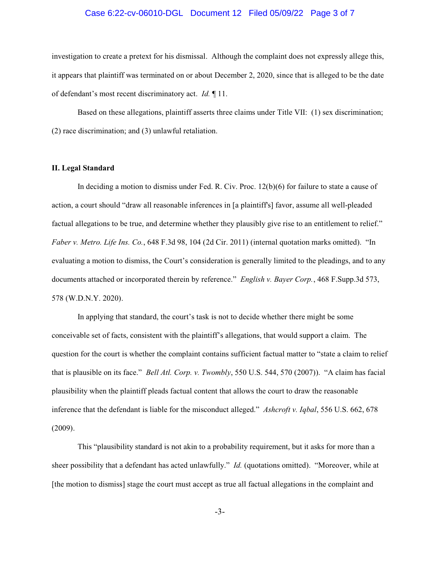## Case 6:22-cv-06010-DGL Document 12 Filed 05/09/22 Page 3 of 7

investigation to create a pretext for his dismissal. Although the complaint does not expressly allege this, it appears that plaintiff was terminated on or about December 2, 2020, since that is alleged to be the date of defendant's most recent discriminatory act. *Id.* ¶ 11.

Based on these allegations, plaintiff asserts three claims under Title VII: (1) sex discrimination; (2) race discrimination; and (3) unlawful retaliation.

#### **II. Legal Standard**

In deciding a motion to dismiss under Fed. R. Civ. Proc. 12(b)(6) for failure to state a cause of action, a court should "draw all reasonable inferences in [a plaintiff's] favor, assume all well-pleaded factual allegations to be true, and determine whether they plausibly give rise to an entitlement to relief." *Faber v. Metro. Life Ins. Co.*, 648 F.3d 98, 104 (2d Cir. 2011) (internal quotation marks omitted). "In evaluating a motion to dismiss, the Court's consideration is generally limited to the pleadings, and to any documents attached or incorporated therein by reference." *English v. Bayer Corp.*, 468 F.Supp.3d 573, 578 (W.D.N.Y. 2020).

In applying that standard, the court's task is not to decide whether there might be some conceivable set of facts, consistent with the plaintiff's allegations, that would support a claim. The question for the court is whether the complaint contains sufficient factual matter to "state a claim to relief that is plausible on its face." *Bell Atl. Corp. v. Twombly*, 550 U.S. 544, 570 (2007)). "A claim has facial plausibility when the plaintiff pleads factual content that allows the court to draw the reasonable inference that the defendant is liable for the misconduct alleged." *Ashcroft v. Iqbal*, 556 U.S. 662, 678 (2009).

This "plausibility standard is not akin to a probability requirement, but it asks for more than a sheer possibility that a defendant has acted unlawfully." *Id.* (quotations omitted). "Moreover, while at [the motion to dismiss] stage the court must accept as true all factual allegations in the complaint and

-3-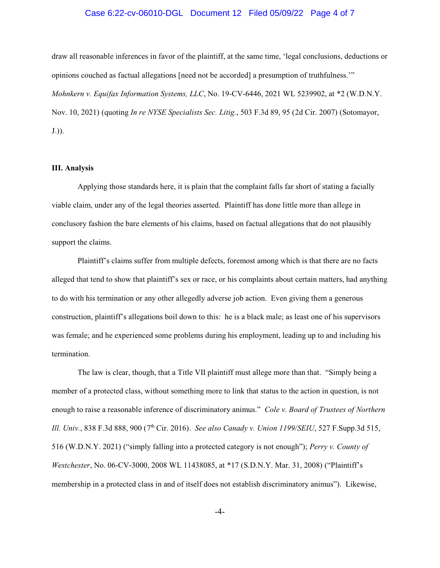# Case 6:22-cv-06010-DGL Document 12 Filed 05/09/22 Page 4 of 7

draw all reasonable inferences in favor of the plaintiff, at the same time, 'legal conclusions, deductions or opinions couched as factual allegations [need not be accorded] a presumption of truthfulness.'" *Mohnkern v. Equifax Information Systems, LLC*, No. 19-CV-6446, 2021 WL 5239902, at \*2 (W.D.N.Y. Nov. 10, 2021) (quoting *In re NYSE Specialists Sec. Litig*., 503 F.3d 89, 95 (2d Cir. 2007) (Sotomayor, J.)).

#### **III. Analysis**

Applying those standards here, it is plain that the complaint falls far short of stating a facially viable claim, under any of the legal theories asserted. Plaintiff has done little more than allege in conclusory fashion the bare elements of his claims, based on factual allegations that do not plausibly support the claims.

Plaintiff's claims suffer from multiple defects, foremost among which is that there are no facts alleged that tend to show that plaintiff's sex or race, or his complaints about certain matters, had anything to do with his termination or any other allegedly adverse job action. Even giving them a generous construction, plaintiff's allegations boil down to this: he is a black male; as least one of his supervisors was female; and he experienced some problems during his employment, leading up to and including his termination.

The law is clear, though, that a Title VII plaintiff must allege more than that. "Simply being a member of a protected class, without something more to link that status to the action in question, is not enough to raise a reasonable inference of discriminatory animus." *Cole v. Board of Trustees of Northern Ill. Univ.*, 838 F.3d 888, 900 (7<sup>th</sup> Cir. 2016). *See also Canady v. Union 1199/SEIU*, 527 F.Supp.3d 515, 516 (W.D.N.Y. 2021) ("simply falling into a protected category is not enough"); *Perry v. County of Westchester*, No. 06-CV-3000, 2008 WL 11438085, at \*17 (S.D.N.Y. Mar. 31, 2008) ("Plaintiff's membership in a protected class in and of itself does not establish discriminatory animus"). Likewise,

-4-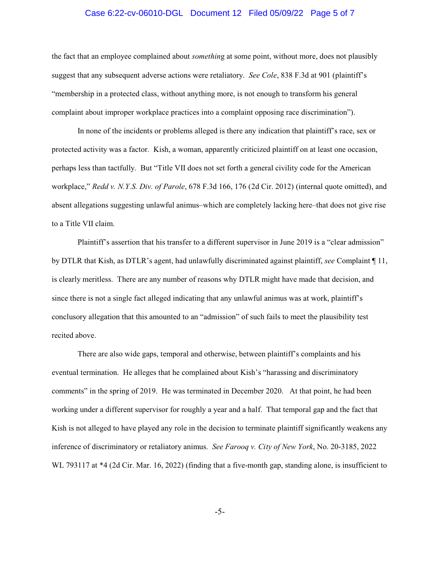## Case 6:22-cv-06010-DGL Document 12 Filed 05/09/22 Page 5 of 7

the fact that an employee complained about *somethin*g at some point, without more, does not plausibly suggest that any subsequent adverse actions were retaliatory. *See Cole*, 838 F.3d at 901 (plaintiff's "membership in a protected class, without anything more, is not enough to transform his general complaint about improper workplace practices into a complaint opposing race discrimination").

In none of the incidents or problems alleged is there any indication that plaintiff's race, sex or protected activity was a factor. Kish, a woman, apparently criticized plaintiff on at least one occasion, perhaps less than tactfully. But "Title VII does not set forth a general civility code for the American workplace," *Redd v. N.Y.S. Div. of Parole*, 678 F.3d 166, 176 (2d Cir. 2012) (internal quote omitted), and absent allegations suggesting unlawful animus–which are completely lacking here–that does not give rise to a Title VII claim.

Plaintiff's assertion that his transfer to a different supervisor in June 2019 is a "clear admission" by DTLR that Kish, as DTLR's agent, had unlawfully discriminated against plaintiff, *see* Complaint ¶ 11, is clearly meritless. There are any number of reasons why DTLR might have made that decision, and since there is not a single fact alleged indicating that any unlawful animus was at work, plaintiff's conclusory allegation that this amounted to an "admission" of such fails to meet the plausibility test recited above.

There are also wide gaps, temporal and otherwise, between plaintiff's complaints and his eventual termination. He alleges that he complained about Kish's "harassing and discriminatory comments" in the spring of 2019. He was terminated in December 2020. At that point, he had been working under a different supervisor for roughly a year and a half. That temporal gap and the fact that Kish is not alleged to have played any role in the decision to terminate plaintiff significantly weakens any inference of discriminatory or retaliatory animus. *See Farooq v. City of New York*, No. 20-3185, 2022 WL 793117 at \*4 (2d Cir. Mar. 16, 2022) (finding that a five-month gap, standing alone, is insufficient to

-5-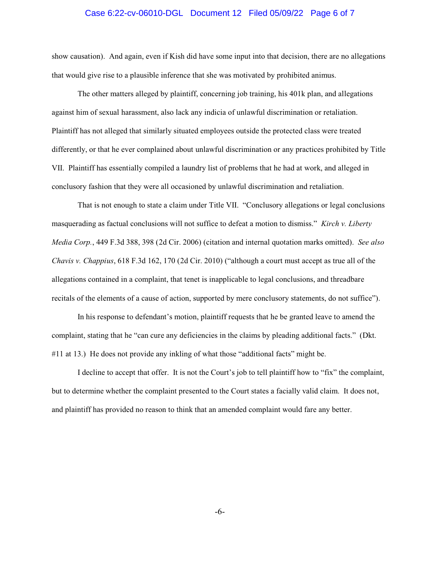### Case 6:22-cv-06010-DGL Document 12 Filed 05/09/22 Page 6 of 7

show causation). And again, even if Kish did have some input into that decision, there are no allegations that would give rise to a plausible inference that she was motivated by prohibited animus.

The other matters alleged by plaintiff, concerning job training, his 401k plan, and allegations against him of sexual harassment, also lack any indicia of unlawful discrimination or retaliation. Plaintiff has not alleged that similarly situated employees outside the protected class were treated differently, or that he ever complained about unlawful discrimination or any practices prohibited by Title VII. Plaintiff has essentially compiled a laundry list of problems that he had at work, and alleged in conclusory fashion that they were all occasioned by unlawful discrimination and retaliation.

That is not enough to state a claim under Title VII. "Conclusory allegations or legal conclusions masquerading as factual conclusions will not suffice to defeat a motion to dismiss." *Kirch v. Liberty Media Corp.*, 449 F.3d 388, 398 (2d Cir. 2006) (citation and internal quotation marks omitted). *See also Chavis v. Chappius*, 618 F.3d 162, 170 (2d Cir. 2010) ("although a court must accept as true all of the allegations contained in a complaint, that tenet is inapplicable to legal conclusions, and threadbare recitals of the elements of a cause of action, supported by mere conclusory statements, do not suffice").

In his response to defendant's motion, plaintiff requests that he be granted leave to amend the complaint, stating that he "can cure any deficiencies in the claims by pleading additional facts." (Dkt. #11 at 13.) He does not provide any inkling of what those "additional facts" might be.

I decline to accept that offer. It is not the Court's job to tell plaintiff how to "fix" the complaint, but to determine whether the complaint presented to the Court states a facially valid claim. It does not, and plaintiff has provided no reason to think that an amended complaint would fare any better.